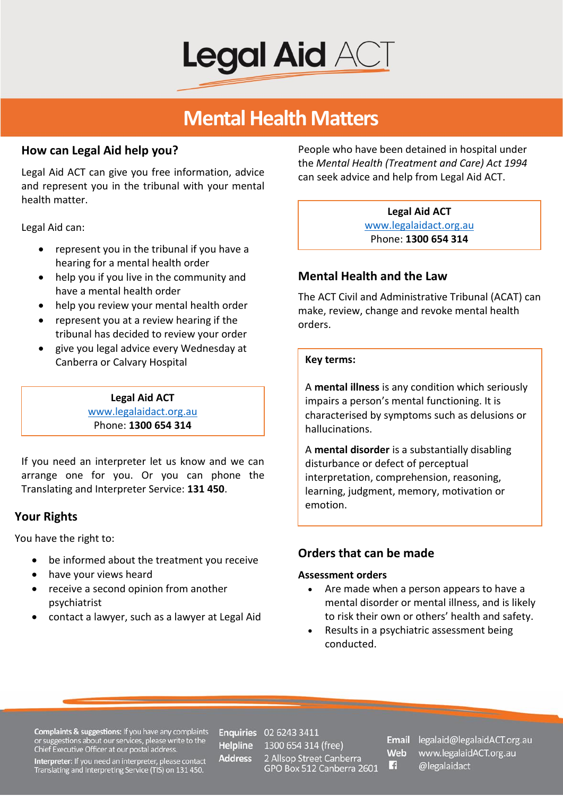

## **Mental Health Matters**

### **How can Legal Aid help you?**

Legal Aid ACT can give you free information, advice and represent you in the tribunal with your mental health matter.

Legal Aid can:

- represent you in the tribunal if you have a hearing for a mental health order
- help you if you live in the community and have a mental health order
- help you review your mental health order
- represent you at a review hearing if the tribunal has decided to review your order
- give you legal advice every Wednesday at Canberra or Calvary Hospital

**Legal Aid ACT** [www.legalaidact.org.au](file://lacdc2008/General%20Practice/Community%20Legal%20Education/Publications%20and%20Pamphlets/WEBSITE/www.legalaidact.org.au) Phone: **1300 654 314**

If you need an interpreter let us know and we can arrange one for you. Or you can phone the Translating and Interpreter Service: **131 450**.

## **Your Rights**

You have the right to:

- be informed about the treatment you receive
- have your views heard
- receive a second opinion from another psychiatrist
- contact a lawyer, such as a lawyer at Legal Aid

People who have been detained in hospital under the *Mental Health (Treatment and Care) Act 1994* can seek advice and help from Legal Aid ACT.

> **Legal Aid ACT** [www.legalaidact.org.au](file://lacdc2008/General%20Practice/Community%20Legal%20Education/Publications%20and%20Pamphlets/WEBSITE/www.legalaidact.org.au) Phone: **1300 654 314**

## **Mental Health and the Law**

The ACT Civil and Administrative Tribunal (ACAT) can make, review, change and revoke mental health orders.

### **Key terms:**

A **mental illness** is any condition which seriously impairs a person's mental functioning. It is characterised by symptoms such as delusions or hallucinations.

A **mental disorder** is a substantially disabling disturbance or defect of perceptual interpretation, comprehension, reasoning, learning, judgment, memory, motivation or emotion.

## **Orders that can be made**

### **Assessment orders**

- Are made when a person appears to have a mental disorder or mental illness, and is likely to risk their own or others' health and safety.
- Results in a psychiatric assessment being conducted.

**Complaints & suggestions:** If you have any complaints<br>or suggestions about our services, please write to the<br>Chief Executive Officer at our postal address.

Interpreter: If you need an interpreter, please contact Translating and Interpreting Service (TIS) on 131 450.

**Helpline Address** 

**Enquiries** 02 6243 3411 1300 654 314 (free) 2 Allsop Street Canberra<br>GPO Box 512 Canberra 2601

Web H.

Email legalaid@legalaidACT.org.au www.legalaidACT.org.au @legalaidact